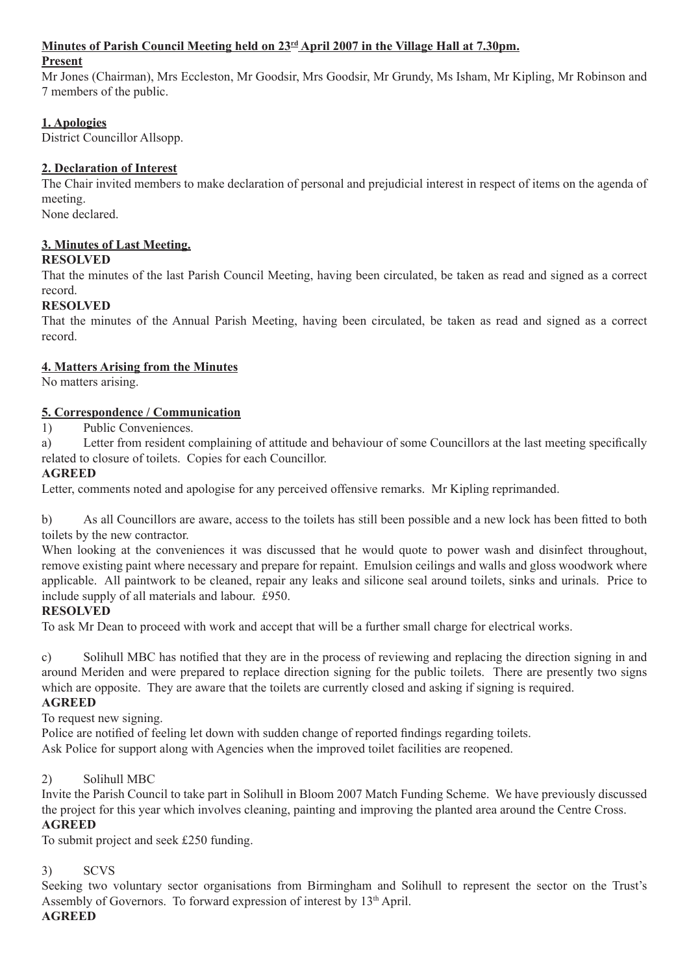#### **Minutes of Parish Council Meeting held on 23rd April 2007 in the Village Hall at 7.30pm.**

#### **Present**

Mr Jones (Chairman), Mrs Eccleston, Mr Goodsir, Mrs Goodsir, Mr Grundy, Ms Isham, Mr Kipling, Mr Robinson and 7 members of the public.

## **1. Apologies**

District Councillor Allsopp.

### **2. Declaration of Interest**

The Chair invited members to make declaration of personal and prejudicial interest in respect of items on the agenda of meeting.

None declared.

#### **3. Minutes of Last Meeting. RESOLVED**

That the minutes of the last Parish Council Meeting, having been circulated, be taken as read and signed as a correct record.

### **RESOLVED**

That the minutes of the Annual Parish Meeting, having been circulated, be taken as read and signed as a correct record.

#### **4. Matters Arising from the Minutes**

No matters arising.

#### **5. Correspondence / Communication**

1) Public Conveniences.

a) Letter from resident complaining of attitude and behaviour of some Councillors at the last meeting specifically related to closure of toilets. Copies for each Councillor.

#### **AGREED**

Letter, comments noted and apologise for any perceived offensive remarks. Mr Kipling reprimanded.

b) As all Councillors are aware, access to the toilets has still been possible and a new lock has been fitted to both toilets by the new contractor.

When looking at the conveniences it was discussed that he would quote to power wash and disinfect throughout, remove existing paint where necessary and prepare for repaint. Emulsion ceilings and walls and gloss woodwork where applicable. All paintwork to be cleaned, repair any leaks and silicone seal around toilets, sinks and urinals. Price to include supply of all materials and labour. £950.

#### **RESOLVED**

To ask Mr Dean to proceed with work and accept that will be a further small charge for electrical works.

c) Solihull MBC has notified that they are in the process of reviewing and replacing the direction signing in and around Meriden and were prepared to replace direction signing for the public toilets. There are presently two signs which are opposite. They are aware that the toilets are currently closed and asking if signing is required.

#### **AGREED**

To request new signing.

Police are notified of feeling let down with sudden change of reported findings regarding toilets. Ask Police for support along with Agencies when the improved toilet facilities are reopened.

#### 2) Solihull MBC

Invite the Parish Council to take part in Solihull in Bloom 2007 Match Funding Scheme. We have previously discussed the project for this year which involves cleaning, painting and improving the planted area around the Centre Cross. **AGREED**

To submit project and seek £250 funding.

#### 3) SCVS

Seeking two voluntary sector organisations from Birmingham and Solihull to represent the sector on the Trust's Assembly of Governors. To forward expression of interest by 13<sup>th</sup> April.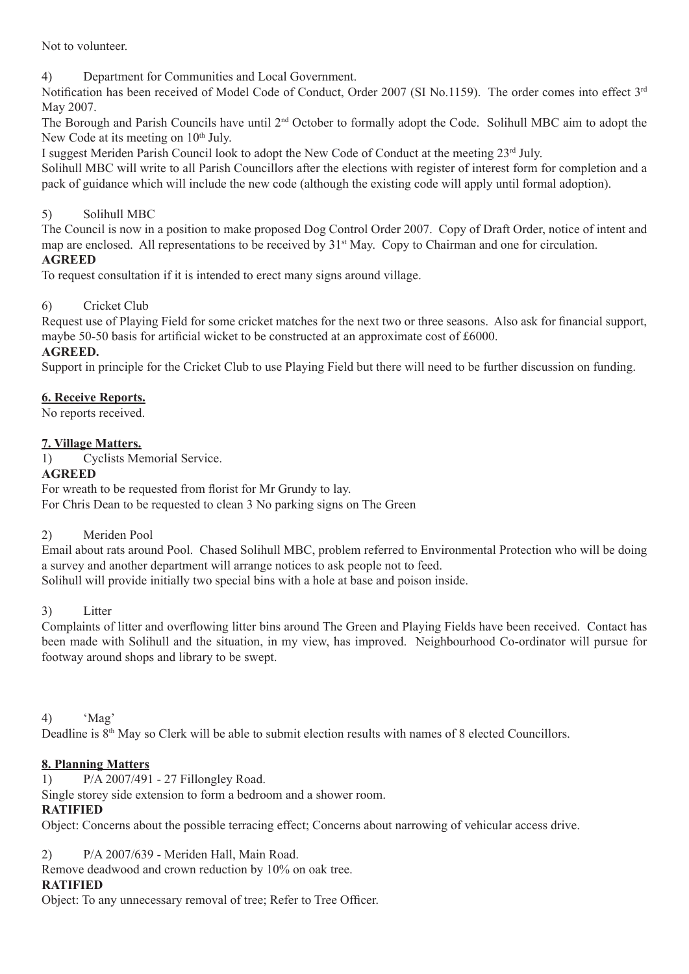Not to volunteer.

4) Department for Communities and Local Government.

Notification has been received of Model Code of Conduct, Order 2007 (SI No.1159). The order comes into effect 3<sup>rd</sup> May 2007.

The Borough and Parish Councils have until 2nd October to formally adopt the Code. Solihull MBC aim to adopt the New Code at its meeting on  $10<sup>th</sup>$  July.

I suggest Meriden Parish Council look to adopt the New Code of Conduct at the meeting 23rd July.

Solihull MBC will write to all Parish Councillors after the elections with register of interest form for completion and a pack of guidance which will include the new code (although the existing code will apply until formal adoption).

# 5) Solihull MBC

The Council is now in a position to make proposed Dog Control Order 2007. Copy of Draft Order, notice of intent and map are enclosed. All representations to be received by 31<sup>st</sup> May. Copy to Chairman and one for circulation.

# **AGREED**

To request consultation if it is intended to erect many signs around village.

# 6) Cricket Club

Request use of Playing Field for some cricket matches for the next two or three seasons. Also ask for financial support, maybe 50-50 basis for artificial wicket to be constructed at an approximate cost of £6000.

# **AGREED.**

Support in principle for the Cricket Club to use Playing Field but there will need to be further discussion on funding.

### **6. Receive Reports.**

No reports received.

### **7. Village Matters.**

1) Cyclists Memorial Service.

### **AGREED**

For wreath to be requested from florist for Mr Grundy to lay. For Chris Dean to be requested to clean 3 No parking signs on The Green

# 2) Meriden Pool

Email about rats around Pool. Chased Solihull MBC, problem referred to Environmental Protection who will be doing a survey and another department will arrange notices to ask people not to feed. Solihull will provide initially two special bins with a hole at base and poison inside.

#### 3) Litter

Complaints of litter and overflowing litter bins around The Green and Playing Fields have been received. Contact has been made with Solihull and the situation, in my view, has improved. Neighbourhood Co-ordinator will pursue for footway around shops and library to be swept.

#### 4) 'Mag'

Deadline is  $8<sup>th</sup>$  May so Clerk will be able to submit election results with names of 8 elected Councillors.

# **8. Planning Matters**

1) P/A 2007/491 - 27 Fillongley Road.

Single storey side extension to form a bedroom and a shower room.

# **RATIFIED**

Object: Concerns about the possible terracing effect; Concerns about narrowing of vehicular access drive.

# 2) P/A 2007/639 - Meriden Hall, Main Road.

Remove deadwood and crown reduction by 10% on oak tree.

#### **RATIFIED**

Object: To any unnecessary removal of tree; Refer to Tree Officer.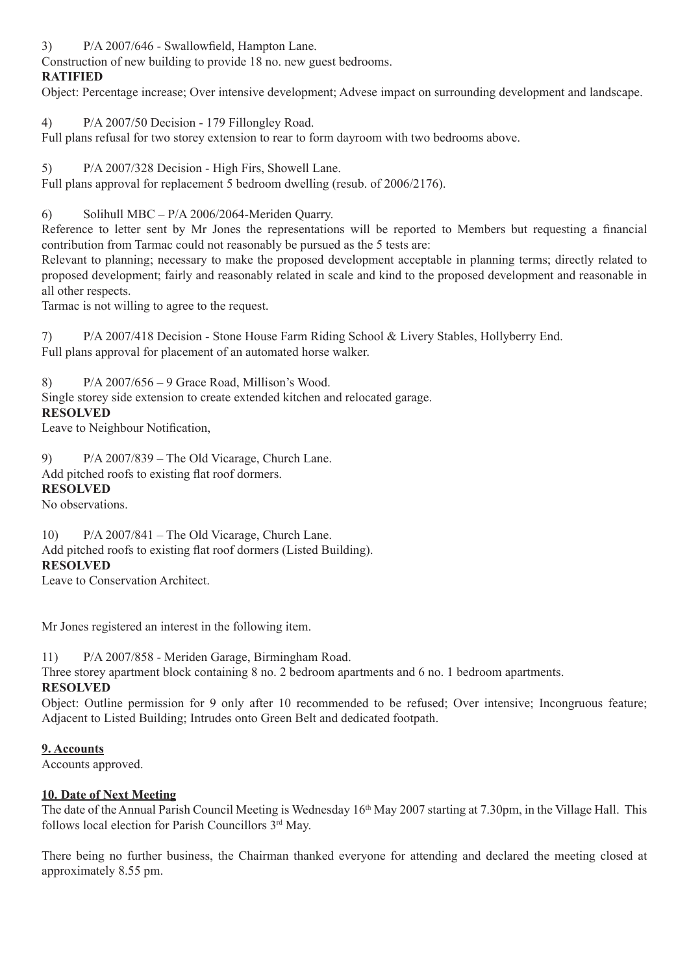3) P/A 2007/646 - Swallowfield, Hampton Lane.

Construction of new building to provide 18 no. new guest bedrooms.

# **RATIFIED**

Object: Percentage increase; Over intensive development; Advese impact on surrounding development and landscape.

4) P/A 2007/50 Decision - 179 Fillongley Road.

Full plans refusal for two storey extension to rear to form dayroom with two bedrooms above.

5) P/A 2007/328 Decision - High Firs, Showell Lane.

Full plans approval for replacement 5 bedroom dwelling (resub. of 2006/2176).

6) Solihull MBC – P/A 2006/2064-Meriden Quarry.

Reference to letter sent by Mr Jones the representations will be reported to Members but requesting a financial contribution from Tarmac could not reasonably be pursued as the 5 tests are:

Relevant to planning; necessary to make the proposed development acceptable in planning terms; directly related to proposed development; fairly and reasonably related in scale and kind to the proposed development and reasonable in all other respects.

Tarmac is not willing to agree to the request.

7) P/A 2007/418 Decision - Stone House Farm Riding School & Livery Stables, Hollyberry End. Full plans approval for placement of an automated horse walker.

8) P/A 2007/656 – 9 Grace Road, Millison's Wood.

Single storey side extension to create extended kitchen and relocated garage.

### **RESOLVED**

Leave to Neighbour Notification,

9) P/A 2007/839 – The Old Vicarage, Church Lane. Add pitched roofs to existing flat roof dormers.

# **RESOLVED**

No observations.

10) P/A 2007/841 – The Old Vicarage, Church Lane. Add pitched roofs to existing flat roof dormers (Listed Building). **RESOLVED**

Leave to Conservation Architect.

Mr Jones registered an interest in the following item.

11) P/A 2007/858 - Meriden Garage, Birmingham Road.

Three storey apartment block containing 8 no. 2 bedroom apartments and 6 no. 1 bedroom apartments.

#### **RESOLVED**

Object: Outline permission for 9 only after 10 recommended to be refused; Over intensive; Incongruous feature; Adjacent to Listed Building; Intrudes onto Green Belt and dedicated footpath.

# **9. Accounts**

Accounts approved.

# **10. Date of Next Meeting**

The date of the Annual Parish Council Meeting is Wednesday 16<sup>th</sup> May 2007 starting at 7.30pm, in the Village Hall. This follows local election for Parish Councillors 3rd May.

There being no further business, the Chairman thanked everyone for attending and declared the meeting closed at approximately 8.55 pm.